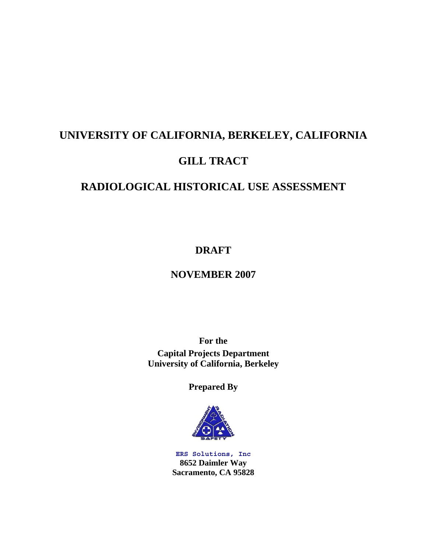# **UNIVERSITY OF CALIFORNIA, BERKELEY, CALIFORNIA**

# **GILL TRACT**

# **RADIOLOGICAL HISTORICAL USE ASSESSMENT**

# **DRAFT**

# **NOVEMBER 2007**

**For the Capital Projects Department University of California, Berkeley** 

**Prepared By** 



**ERS Solutions, Inc 8652 Daimler Way Sacramento, CA 95828**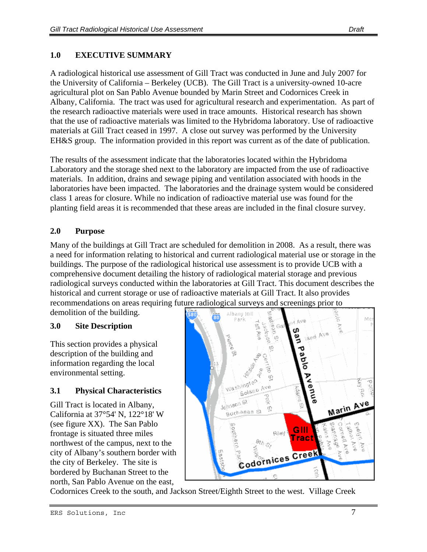### **1.0 EXECUTIVE SUMMARY**

A radiological historical use assessment of Gill Tract was conducted in June and July 2007 for the University of California – Berkeley (UCB). The Gill Tract is a university-owned 10-acre agricultural plot on San Pablo Avenue bounded by Marin Street and Codornices Creek in Albany, California. The tract was used for agricultural research and experimentation. As part of the research radioactive materials were used in trace amounts. Historical research has shown that the use of radioactive materials was limited to the Hybridoma laboratory. Use of radioactive materials at Gill Tract ceased in 1997. A close out survey was performed by the University EH&S group. The information provided in this report was current as of the date of publication.

The results of the assessment indicate that the laboratories located within the Hybridoma Laboratory and the storage shed next to the laboratory are impacted from the use of radioactive materials. In addition, drains and sewage piping and ventilation associated with hoods in the laboratories have been impacted. The laboratories and the drainage system would be considered class 1 areas for closure. While no indication of radioactive material use was found for the planting field areas it is recommended that these areas are included in the final closure survey.

#### **2.0 Purpose**

Many of the buildings at Gill Tract are scheduled for demolition in 2008. As a result, there was a need for information relating to historical and current radiological material use or storage in the buildings. The purpose of the radiological historical use assessment is to provide UCB with a comprehensive document detailing the history of radiological material storage and previous radiological surveys conducted within the laboratories at Gill Tract. This document describes the historical and current storage or use of radioactive materials at Gill Tract. It also provides recommendations on areas requiring future radiological surveys and screenings prior to

demolition of the building.

#### **3.0 Site Description**

This section provides a physical description of the building and information regarding the local environmental setting.

#### **3.1 Physical Characteristics**

Gill Tract is located in Albany, California at 37°54' N, 122°18' W (see figure XX). The San Pablo frontage is situated three miles northwest of the campus, next to the city of Albany's southern border with the city of Berkeley. The site is bordered by Buchanan Street to the north, San Pablo Avenue on the east,



Codornices Creek to the south, and Jackson Street/Eighth Street to the west. Village Creek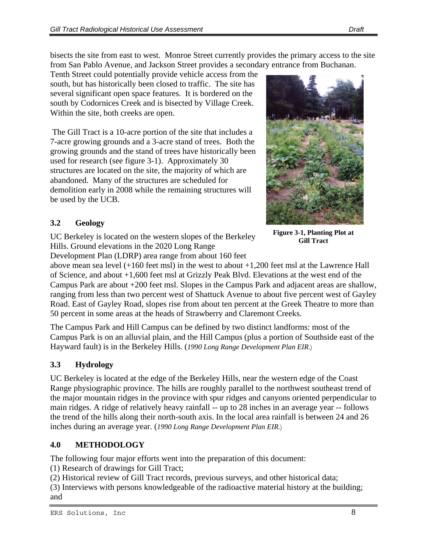bisects the site from east to west. Monroe Street currently provides the primary access to the site from San Pablo Avenue, and Jackson Street provides a secondary entrance from Buchanan.

Tenth Street could potentially provide vehicle access from the south, but has historically been closed to traffic. The site has several significant open space features. It is bordered on the south by Codornices Creek and is bisected by Village Creek. Within the site, both creeks are open.

 The Gill Tract is a 10-acre portion of the site that includes a 7-acre growing grounds and a 3-acre stand of trees. Both the growing grounds and the stand of trees have historically been used for research (see figure 3-1). Approximately 30 structures are located on the site, the majority of which are abandoned. Many of the structures are scheduled for demolition early in 2008 while the remaining structures will be used by the UCB.



**Figure 3-1, Planting Plot at Gill Tract** 

# **3.2 Geology**

UC Berkeley is located on the western slopes of the Berkeley Hills. Ground elevations in the 2020 Long Range

Development Plan (LDRP) area range from about 160 feet

above mean sea level (+160 feet msl) in the west to about +1,200 feet msl at the Lawrence Hall of Science, and about +1,600 feet msl at Grizzly Peak Blvd. Elevations at the west end of the Campus Park are about +200 feet msl. Slopes in the Campus Park and adjacent areas are shallow, ranging from less than two percent west of Shattuck Avenue to about five percent west of Gayley Road. East of Gayley Road, slopes rise from about ten percent at the Greek Theatre to more than 50 percent in some areas at the heads of Strawberry and Claremont Creeks.

The Campus Park and Hill Campus can be defined by two distinct landforms: most of the Campus Park is on an alluvial plain, and the Hill Campus (plus a portion of Southside east of the Hayward fault) is in the Berkeley Hills. (*1990 Long Range Development Plan EIR*.)

# **3.3 Hydrology**

UC Berkeley is located at the edge of the Berkeley Hills, near the western edge of the Coast Range physiographic province. The hills are roughly parallel to the northwest southeast trend of the major mountain ridges in the province with spur ridges and canyons oriented perpendicular to main ridges. A ridge of relatively heavy rainfall -- up to 28 inches in an average year -- follows the trend of the hills along their north-south axis. In the local area rainfall is between 24 and 26 inches during an average year. (*1990 Long Range Development Plan EIR*.)

# **4.0 METHODOLOGY**

The following four major efforts went into the preparation of this document:

(1) Research of drawings for Gill Tract;

(2) Historical review of Gill Tract records, previous surveys, and other historical data;

(3) Interviews with persons knowledgeable of the radioactive material history at the building; and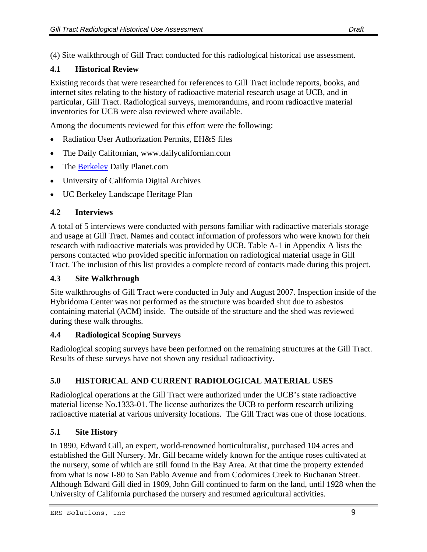(4) Site walkthrough of Gill Tract conducted for this radiological historical use assessment.

#### **4.1 Historical Review**

Existing records that were researched for references to Gill Tract include reports, books, and internet sites relating to the history of radioactive material research usage at UCB, and in particular, Gill Tract. Radiological surveys, memorandums, and room radioactive material inventories for UCB were also reviewed where available.

Among the documents reviewed for this effort were the following:

- Radiation User Authorization Permits, EH&S files
- The Daily Californian, www.dailycalifornian.com
- The [Berkeley](http://berkeley/) Daily Planet.com
- University of California Digital Archives
- UC Berkeley Landscape Heritage Plan

#### **4.2 Interviews**

A total of 5 interviews were conducted with persons familiar with radioactive materials storage and usage at Gill Tract. Names and contact information of professors who were known for their research with radioactive materials was provided by UCB. Table A-1 in Appendix A lists the persons contacted who provided specific information on radiological material usage in Gill Tract. The inclusion of this list provides a complete record of contacts made during this project.

#### **4.3 Site Walkthrough**

Site walkthroughs of Gill Tract were conducted in July and August 2007. Inspection inside of the Hybridoma Center was not performed as the structure was boarded shut due to asbestos containing material (ACM) inside. The outside of the structure and the shed was reviewed during these walk throughs.

#### **4.4 Radiological Scoping Surveys**

Radiological scoping surveys have been performed on the remaining structures at the Gill Tract. Results of these surveys have not shown any residual radioactivity.

# **5.0 HISTORICAL AND CURRENT RADIOLOGICAL MATERIAL USES**

Radiological operations at the Gill Tract were authorized under the UCB's state radioactive material license No.1333-01. The license authorizes the UCB to perform research utilizing radioactive material at various university locations. The Gill Tract was one of those locations.

# **5.1 Site History**

In 1890, Edward Gill, an expert, world-renowned horticulturalist, purchased 104 acres and established the Gill Nursery. Mr. Gill became widely known for the antique roses cultivated at the nursery, some of which are still found in the Bay Area. At that time the property extended from what is now I-80 to San Pablo Avenue and from Codornices Creek to Buchanan Street. Although Edward Gill died in 1909, John Gill continued to farm on the land, until 1928 when the University of California purchased the nursery and resumed agricultural activities.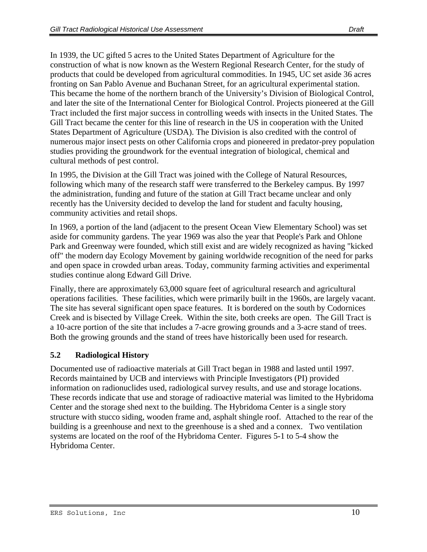In 1939, the UC gifted 5 acres to the United States Department of Agriculture for the construction of what is now known as the Western Regional Research Center, for the study of products that could be developed from agricultural commodities. In 1945, UC set aside 36 acres fronting on San Pablo Avenue and Buchanan Street, for an agricultural experimental station. This became the home of the northern branch of the University's Division of Biological Control, and later the site of the International Center for Biological Control. Projects pioneered at the Gill Tract included the first major success in controlling weeds with insects in the United States. The Gill Tract became the center for this line of research in the US in cooperation with the United States Department of Agriculture (USDA). The Division is also credited with the control of numerous major insect pests on other California crops and pioneered in predator-prey population studies providing the groundwork for the eventual integration of biological, chemical and cultural methods of pest control.

In 1995, the Division at the Gill Tract was joined with the College of Natural Resources, following which many of the research staff were transferred to the Berkeley campus. By 1997 the administration, funding and future of the station at Gill Tract became unclear and only recently has the University decided to develop the land for student and faculty housing, community activities and retail shops.

In 1969, a portion of the land (adjacent to the present Ocean View Elementary School) was set aside for community gardens. The year 1969 was also the year that People's Park and Ohlone Park and Greenway were founded, which still exist and are widely recognized as having "kicked off" the modern day Ecology Movement by gaining worldwide recognition of the need for parks and open space in crowded urban areas. Today, community farming activities and experimental studies continue along Edward Gill Drive.

Finally, there are approximately 63,000 square feet of agricultural research and agricultural operations facilities. These facilities, which were primarily built in the 1960s, are largely vacant. The site has several significant open space features. It is bordered on the south by Codornices Creek and is bisected by Village Creek. Within the site, both creeks are open. The Gill Tract is a 10-acre portion of the site that includes a 7-acre growing grounds and a 3-acre stand of trees. Both the growing grounds and the stand of trees have historically been used for research.

#### **5.2 Radiological History**

Documented use of radioactive materials at Gill Tract began in 1988 and lasted until 1997. Records maintained by UCB and interviews with Principle Investigators (PI) provided information on radionuclides used, radiological survey results, and use and storage locations. These records indicate that use and storage of radioactive material was limited to the Hybridoma Center and the storage shed next to the building. The Hybridoma Center is a single story structure with stucco siding, wooden frame and, asphalt shingle roof. Attached to the rear of the building is a greenhouse and next to the greenhouse is a shed and a connex. Two ventilation systems are located on the roof of the Hybridoma Center. Figures 5-1 to 5-4 show the Hybridoma Center.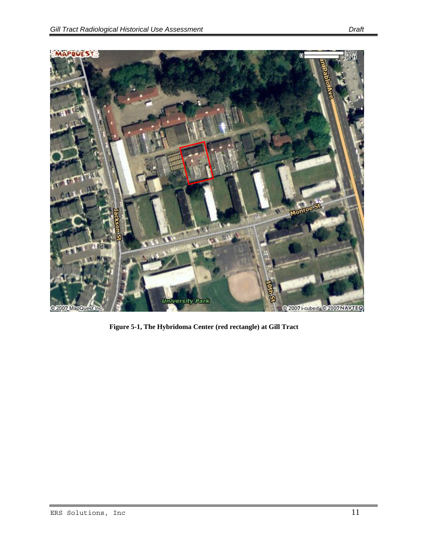

**Figure 5-1, The Hybridoma Center (red rectangle) at Gill Tract**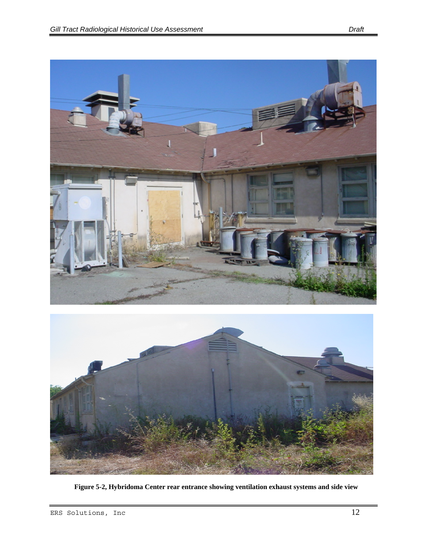



**Figure 5-2, Hybridoma Center rear entrance showing ventilation exhaust systems and side view**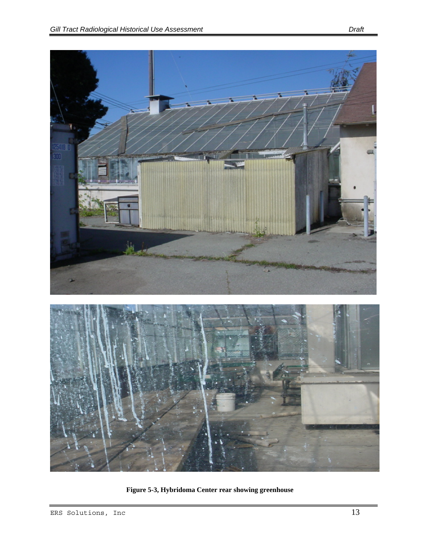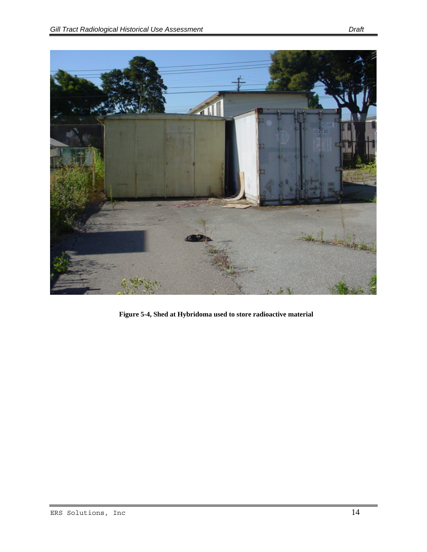

**Figure 5-4, Shed at Hybridoma used to store radioactive material**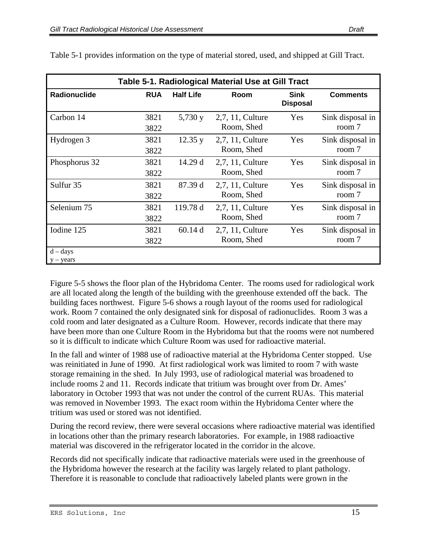| Table 5-1. Radiological Material Use at Gill Tract |              |                  |                                |                                |                            |  |
|----------------------------------------------------|--------------|------------------|--------------------------------|--------------------------------|----------------------------|--|
| Radionuclide                                       | <b>RUA</b>   | <b>Half Life</b> | Room                           | <b>Sink</b><br><b>Disposal</b> | <b>Comments</b>            |  |
| Carbon 14                                          | 3821<br>3822 | 5,730 y          | 2,7, 11, Culture<br>Room, Shed | Yes                            | Sink disposal in<br>room 7 |  |
| Hydrogen 3                                         | 3821<br>3822 | 12.35 y          | 2,7, 11, Culture<br>Room, Shed | Yes                            | Sink disposal in<br>room 7 |  |
| Phosphorus 32                                      | 3821<br>3822 | 14.29 d          | 2,7, 11, Culture<br>Room, Shed | Yes                            | Sink disposal in<br>room 7 |  |
| Sulfur 35                                          | 3821<br>3822 | 87.39 d          | 2,7, 11, Culture<br>Room, Shed | Yes                            | Sink disposal in<br>room 7 |  |
| Selenium 75                                        | 3821<br>3822 | 119.78 d         | 2,7, 11, Culture<br>Room, Shed | Yes                            | Sink disposal in<br>room 7 |  |
| Iodine 125                                         | 3821<br>3822 | 60.14d           | 2,7, 11, Culture<br>Room, Shed | Yes                            | Sink disposal in<br>room 7 |  |
| $d - days$<br>$y - \text{years}$                   |              |                  |                                |                                |                            |  |

Table 5-1 provides information on the type of material stored, used, and shipped at Gill Tract.

Figure 5-5 shows the floor plan of the Hybridoma Center. The rooms used for radiological work are all located along the length of the building with the greenhouse extended off the back. The building faces northwest. Figure 5-6 shows a rough layout of the rooms used for radiological work. Room 7 contained the only designated sink for disposal of radionuclides. Room 3 was a cold room and later designated as a Culture Room. However, records indicate that there may have been more than one Culture Room in the Hybridoma but that the rooms were not numbered so it is difficult to indicate which Culture Room was used for radioactive material.

In the fall and winter of 1988 use of radioactive material at the Hybridoma Center stopped. Use was reinitiated in June of 1990. At first radiological work was limited to room 7 with waste storage remaining in the shed. In July 1993, use of radiological material was broadened to include rooms 2 and 11. Records indicate that tritium was brought over from Dr. Ames' laboratory in October 1993 that was not under the control of the current RUAs. This material was removed in November 1993. The exact room within the Hybridoma Center where the tritium was used or stored was not identified.

During the record review, there were several occasions where radioactive material was identified in locations other than the primary research laboratories. For example, in 1988 radioactive material was discovered in the refrigerator located in the corridor in the alcove.

Records did not specifically indicate that radioactive materials were used in the greenhouse of the Hybridoma however the research at the facility was largely related to plant pathology. Therefore it is reasonable to conclude that radioactively labeled plants were grown in the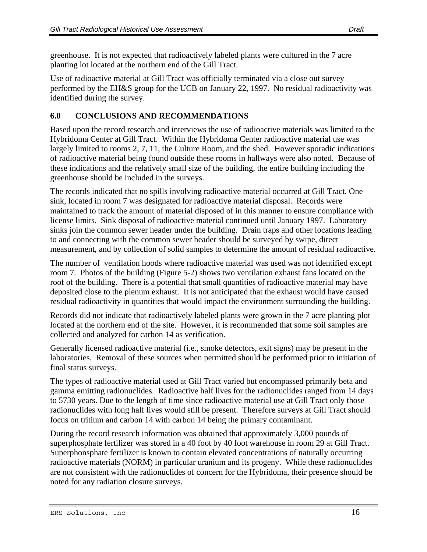greenhouse. It is not expected that radioactively labeled plants were cultured in the 7 acre planting lot located at the northern end of the Gill Tract.

Use of radioactive material at Gill Tract was officially terminated via a close out survey performed by the EH&S group for the UCB on January 22, 1997. No residual radioactivity was identified during the survey.

#### **6.0 CONCLUSIONS AND RECOMMENDATIONS**

Based upon the record research and interviews the use of radioactive materials was limited to the Hybridoma Center at Gill Tract. Within the Hybridoma Center radioactive material use was largely limited to rooms 2, 7, 11, the Culture Room, and the shed. However sporadic indications of radioactive material being found outside these rooms in hallways were also noted. Because of these indications and the relatively small size of the building, the entire building including the greenhouse should be included in the surveys.

The records indicated that no spills involving radioactive material occurred at Gill Tract. One sink, located in room 7 was designated for radioactive material disposal. Records were maintained to track the amount of material disposed of in this manner to ensure compliance with license limits. Sink disposal of radioactive material continued until January 1997. Laboratory sinks join the common sewer header under the building. Drain traps and other locations leading to and connecting with the common sewer header should be surveyed by swipe, direct measurement, and by collection of solid samples to determine the amount of residual radioactive.

The number of ventilation hoods where radioactive material was used was not identified except room 7. Photos of the building (Figure 5-2) shows two ventilation exhaust fans located on the roof of the building. There is a potential that small quantities of radioactive material may have deposited close to the plenum exhaust. It is not anticipated that the exhaust would have caused residual radioactivity in quantities that would impact the environment surrounding the building.

Records did not indicate that radioactively labeled plants were grown in the 7 acre planting plot located at the northern end of the site. However, it is recommended that some soil samples are collected and analyzed for carbon 14 as verification.

Generally licensed radioactive material (i.e., smoke detectors, exit signs) may be present in the laboratories. Removal of these sources when permitted should be performed prior to initiation of final status surveys.

The types of radioactive material used at Gill Tract varied but encompassed primarily beta and gamma emitting radionuclides. Radioactive half lives for the radionuclides ranged from 14 days to 5730 years. Due to the length of time since radioactive material use at Gill Tract only those radionuclides with long half lives would still be present. Therefore surveys at Gill Tract should focus on tritium and carbon 14 with carbon 14 being the primary contaminant.

During the record research information was obtained that approximately 3,000 pounds of superphosphate fertilizer was stored in a 40 foot by 40 foot warehouse in room 29 at Gill Tract. Superphonsphate fertilizer is known to contain elevated concentrations of naturally occurring radioactive materials (NORM) in particular uranium and its progeny. While these radionuclides are not consistent with the radionuclides of concern for the Hybridoma, their presence should be noted for any radiation closure surveys.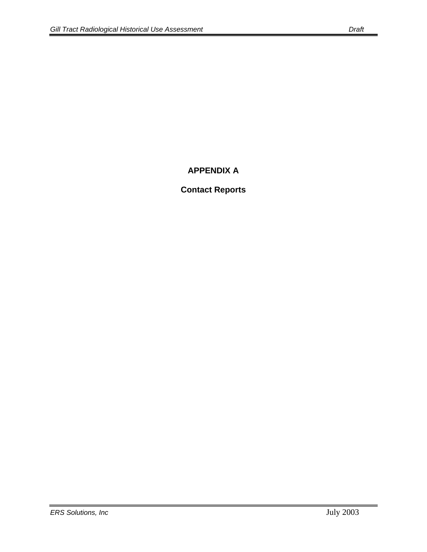# **APPENDIX A**

# **Contact Reports**